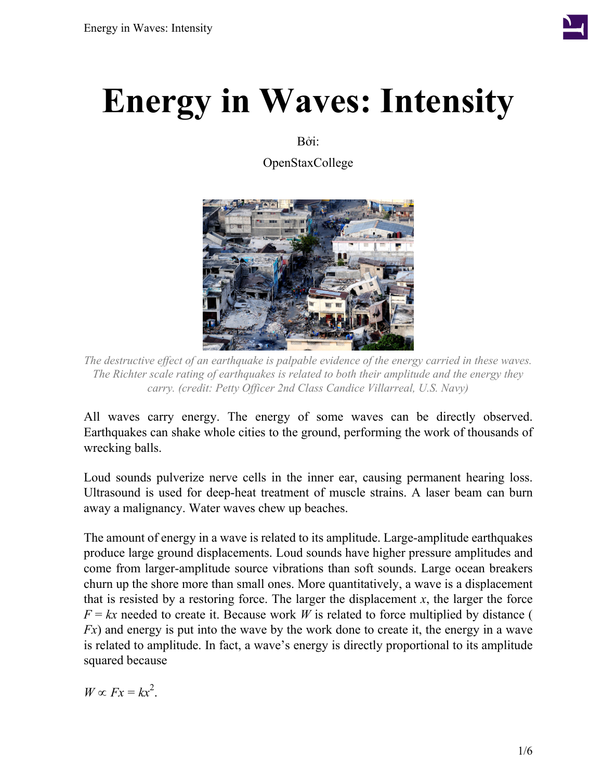

# **Energy in Waves: Intensity**

Bởi:

OpenStaxCollege



*The destructive effect of an earthquake is palpable evidence of the energy carried in these waves. The Richter scale rating of earthquakes is related to both their amplitude and the energy they carry. (credit: Petty Officer 2nd Class Candice Villarreal, U.S. Navy)*

All waves carry energy. The energy of some waves can be directly observed. Earthquakes can shake whole cities to the ground, performing the work of thousands of wrecking balls.

Loud sounds pulverize nerve cells in the inner ear, causing permanent hearing loss. Ultrasound is used for deep-heat treatment of muscle strains. A laser beam can burn away a malignancy. Water waves chew up beaches.

The amount of energy in a wave is related to its amplitude. Large-amplitude earthquakes produce large ground displacements. Loud sounds have higher pressure amplitudes and come from larger-amplitude source vibrations than soft sounds. Large ocean breakers churn up the shore more than small ones. More quantitatively, a wave is a displacement that is resisted by a restoring force. The larger the displacement  $x$ , the larger the force  $F = kx$  needed to create it. Because work *W* is related to force multiplied by distance ( *Fx*) and energy is put into the wave by the work done to create it, the energy in a wave is related to amplitude. In fact, a wave's energy is directly proportional to its amplitude squared because

 $W \propto Fx = kx^2$ .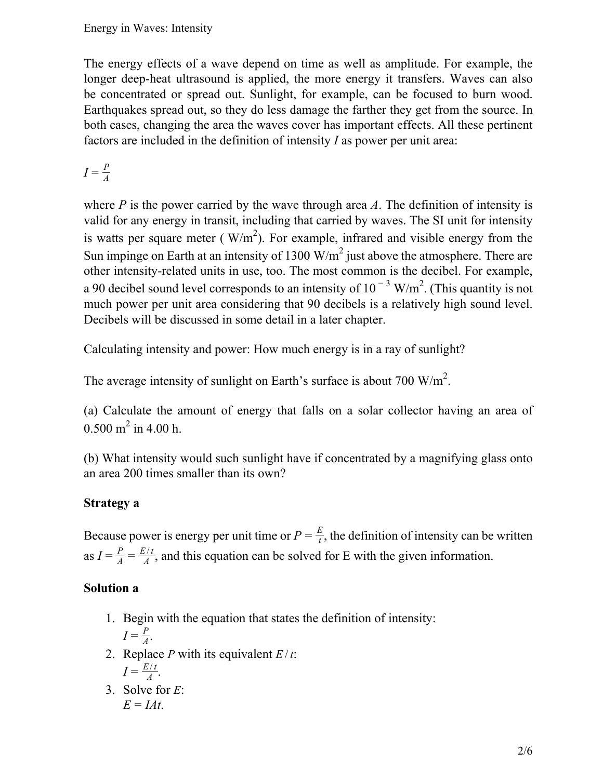The energy effects of a wave depend on time as well as amplitude. For example, the longer deep-heat ultrasound is applied, the more energy it transfers. Waves can also be concentrated or spread out. Sunlight, for example, can be focused to burn wood. Earthquakes spread out, so they do less damage the farther they get from the source. In both cases, changing the area the waves cover has important effects. All these pertinent factors are included in the definition of intensity *I* as power per unit area:

 $I = \frac{P}{4}$ *A*

where *P* is the power carried by the wave through area *A*. The definition of intensity is valid for any energy in transit, including that carried by waves. The SI unit for intensity is watts per square meter ( $W/m<sup>2</sup>$ ). For example, infrared and visible energy from the Sun impinge on Earth at an intensity of 1300  $W/m^2$  just above the atmosphere. There are other intensity-related units in use, too. The most common is the decibel. For example, a 90 decibel sound level corresponds to an intensity of  $10^{-3}$  W/m<sup>2</sup>. (This quantity is not much power per unit area considering that 90 decibels is a relatively high sound level. Decibels will be discussed in some detail in a later chapter.

Calculating intensity and power: How much energy is in a ray of sunlight?

The average intensity of sunlight on Earth's surface is about 700 W/m<sup>2</sup>.

(a) Calculate the amount of energy that falls on a solar collector having an area of  $0.500 \text{ m}^2$  in 4.00 h.

(b) What intensity would such sunlight have if concentrated by a magnifying glass onto an area 200 times smaller than its own?

## **Strategy a**

Because power is energy per unit time or  $P = \frac{E}{t}$  $\frac{E}{t}$ , the definition of intensity can be written as  $I = \frac{P}{4}$  $\frac{P}{A} = \frac{E/t}{A}$  $\frac{\partial H}{\partial A}$ , and this equation can be solved for E with the given information.

## **Solution a**

- 1. Begin with the equation that states the definition of intensity:  $I = \frac{P}{4}$  $\frac{P}{A}$ .
- 2. Replace *P* with its equivalent  $E/t$ :  $I = \frac{E/t}{4}$  $\frac{d}{A}$ .
- 3. Solve for *E*:  $E = IAt$ .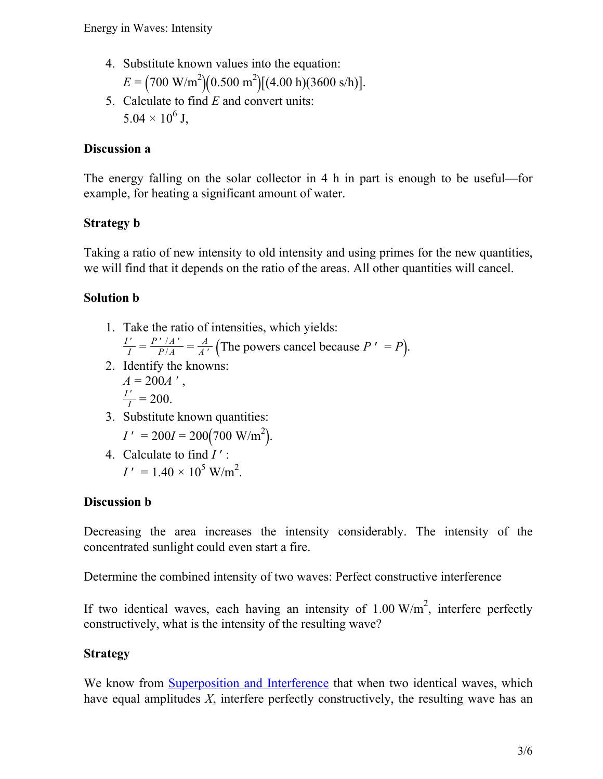- 4. Substitute known values into the equation:  $E = (700 \text{ W/m}^2)(0.500 \text{ m}^2)[(4.00 \text{ h})(3600 \text{ s/h})]$ .
- 5. Calculate to find *E* and convert units:  $5.04 \times 10^6$  J,

### **Discussion a**

The energy falling on the solar collector in 4 h in part is enough to be useful—for example, for heating a significant amount of water.

## **Strategy b**

Taking a ratio of new intensity to old intensity and using primes for the new quantities, we will find that it depends on the ratio of the areas. All other quantities will cancel.

## **Solution b**

- 1. Take the ratio of intensities, which yields: *I* ′  $\frac{I'}{I} = \frac{P' / A'}{P / A}$  $\frac{A}{P/A} = \frac{A}{A'}$  (The powers cancel because *P* ' = *P*).
- 2. Identify the knowns:  $A = 200A'$ , *I* ′  $\bar{I}$  = 200.
- 3. Substitute known quantities:

$$
I' = 200I = 200(700 \text{ W/m}^2).
$$

4. Calculate to find *I* ′ :  $I' = 1.40 \times 10^5$  W/m<sup>2</sup>.

## **Discussion b**

Decreasing the area increases the intensity considerably. The intensity of the concentrated sunlight could even start a fire.

Determine the combined intensity of two waves: Perfect constructive interference

If two identical waves, each having an intensity of  $1.00 \text{ W/m}^2$ , interfere perfectly constructively, what is the intensity of the resulting wave?

## **Strategy**

We know from [Superposition](/m42249) and Interference that when two identical waves, which have equal amplitudes *X*, interfere perfectly constructively, the resulting wave has an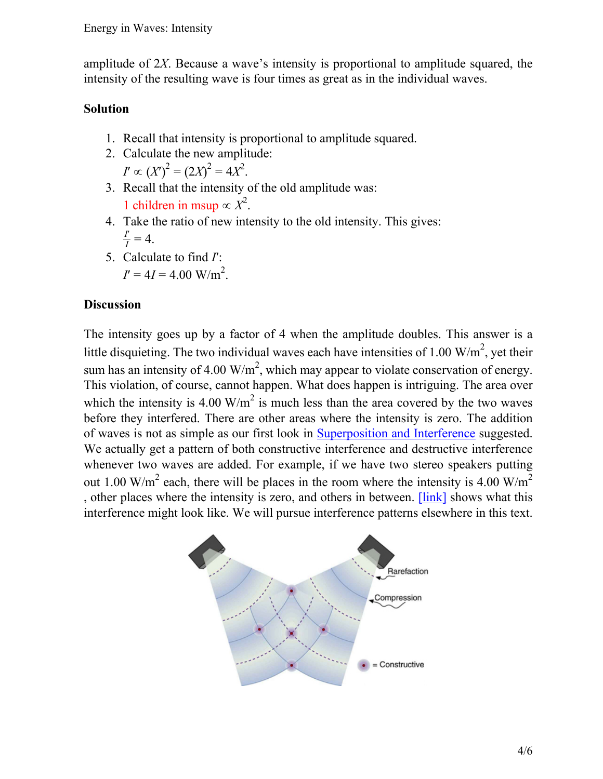amplitude of 2*X*. Because a wave's intensity is proportional to amplitude squared, the intensity of the resulting wave is four times as great as in the individual waves.

#### **Solution**

- 1. Recall that intensity is proportional to amplitude squared.
- 2. Calculate the new amplitude:
	- $I' \propto (X')^2 = (2X)^2 = 4X^2$ .
- 3. Recall that the intensity of the old amplitude was: 1 children in msup  $\propto X^2$ .
- 4. Take the ratio of new intensity to the old intensity. This gives: *I*′  $\frac{I}{I} = 4.$
- 5. Calculate to find *I*′:  $I' = 4I = 4.00$  W/m<sup>2</sup>.

#### **Discussion**

The intensity goes up by a factor of 4 when the amplitude doubles. This answer is a little disquieting. The two individual waves each have intensities of 1.00  $\text{W/m}^2$ , yet their sum has an intensity of 4.00  $\text{W/m}^2$ , which may appear to violate conservation of energy. This violation, of course, cannot happen. What does happen is intriguing. The area over which the intensity is 4.00 W/m<sup>2</sup> is much less than the area covered by the two waves before they interfered. There are other areas where the intensity is zero. The addition of waves is not as simple as our first look in [Superposition](/m42249) and Interference suggested. We actually get a pattern of both constructive interference and destructive interference whenever two waves are added. For example, if we have two stereo speakers putting out 1.00 W/m<sup>2</sup> each, there will be places in the room where the intensity is 4.00 W/m<sup>2</sup> , other places where the intensity is zero, and others in between. [\[link\]](#page-3-0) shows what this interference might look like. We will pursue interference patterns elsewhere in this text.

<span id="page-3-0"></span>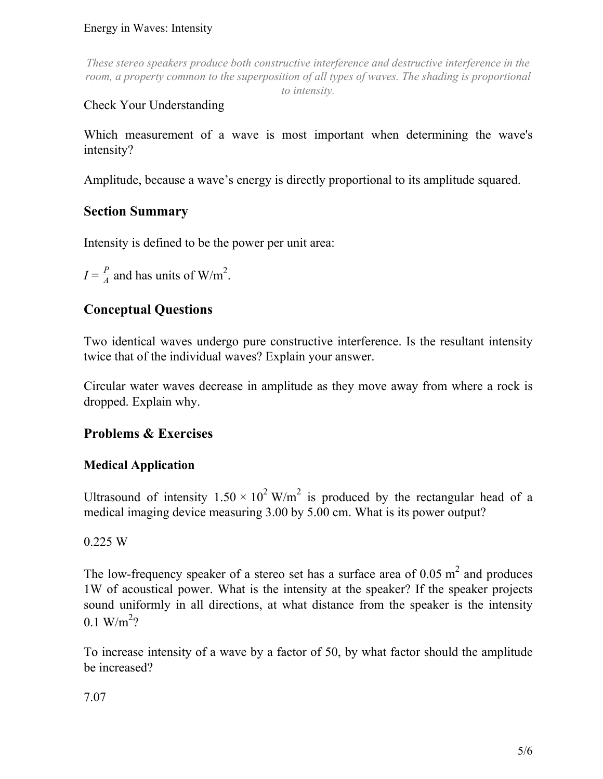#### Energy in Waves: Intensity

*These stereo speakers produce both constructive interference and destructive interference in the room, a property common to the superposition of all types of waves. The shading is proportional to intensity.*

## Check Your Understanding

Which measurement of a wave is most important when determining the wave's intensity?

Amplitude, because a wave's energy is directly proportional to its amplitude squared.

## **Section Summary**

Intensity is defined to be the power per unit area:

 $I = \frac{P}{4}$  $\frac{P}{A}$  and has units of W/m<sup>2</sup>.

## **Conceptual Questions**

Two identical waves undergo pure constructive interference. Is the resultant intensity twice that of the individual waves? Explain your answer.

Circular water waves decrease in amplitude as they move away from where a rock is dropped. Explain why.

## **Problems & Exercises**

## **Medical Application**

Ultrasound of intensity  $1.50 \times 10^2$  W/m<sup>2</sup> is produced by the rectangular head of a medical imaging device measuring 3.00 by 5.00 cm. What is its power output?

0.225 W

The low-frequency speaker of a stereo set has a surface area of  $0.05 \text{ m}^2$  and produces 1W of acoustical power. What is the intensity at the speaker? If the speaker projects sound uniformly in all directions, at what distance from the speaker is the intensity  $0.1 \text{ W/m}^2$ ?

To increase intensity of a wave by a factor of 50, by what factor should the amplitude be increased?

7.07